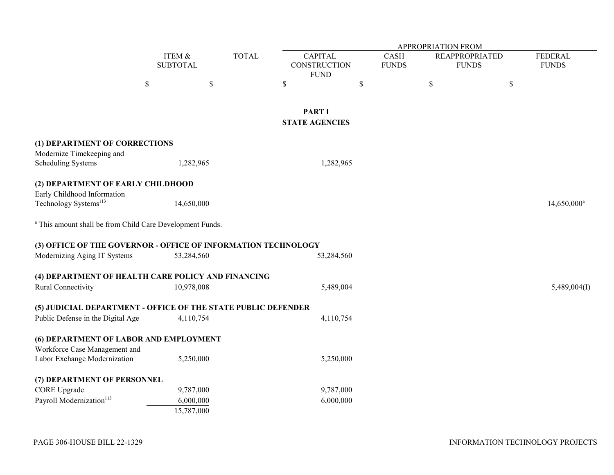|                                                                      |                           |                                      |              | <b>APPROPRIATION FROM</b>                     |                        |                             |                                       |      |                                |  |
|----------------------------------------------------------------------|---------------------------|--------------------------------------|--------------|-----------------------------------------------|------------------------|-----------------------------|---------------------------------------|------|--------------------------------|--|
|                                                                      | ITEM &<br><b>SUBTOTAL</b> |                                      | <b>TOTAL</b> | <b>CAPITAL</b><br>CONSTRUCTION<br><b>FUND</b> |                        | <b>CASH</b><br><b>FUNDS</b> | <b>REAPPROPRIATED</b><br><b>FUNDS</b> |      | <b>FEDERAL</b><br><b>FUNDS</b> |  |
|                                                                      | \$                        | \$                                   |              | \$                                            | \$                     |                             | $\mathbb S$                           | $\$$ |                                |  |
|                                                                      |                           |                                      |              | <b>PART I</b><br><b>STATE AGENCIES</b>        |                        |                             |                                       |      |                                |  |
| (1) DEPARTMENT OF CORRECTIONS                                        |                           |                                      |              |                                               |                        |                             |                                       |      |                                |  |
| Modernize Timekeeping and<br><b>Scheduling Systems</b>               |                           | 1,282,965                            |              |                                               | 1,282,965              |                             |                                       |      |                                |  |
| (2) DEPARTMENT OF EARLY CHILDHOOD                                    |                           |                                      |              |                                               |                        |                             |                                       |      |                                |  |
| Early Childhood Information<br>Technology Systems <sup>113</sup>     |                           | 14,650,000                           |              |                                               |                        |                             |                                       |      | $14,650,000^{\circ}$           |  |
| <sup>a</sup> This amount shall be from Child Care Development Funds. |                           |                                      |              |                                               |                        |                             |                                       |      |                                |  |
| (3) OFFICE OF THE GOVERNOR - OFFICE OF INFORMATION TECHNOLOGY        |                           |                                      |              |                                               |                        |                             |                                       |      |                                |  |
| Modernizing Aging IT Systems                                         |                           | 53,284,560                           |              |                                               | 53,284,560             |                             |                                       |      |                                |  |
| (4) DEPARTMENT OF HEALTH CARE POLICY AND FINANCING                   |                           |                                      |              |                                               |                        |                             |                                       |      |                                |  |
| Rural Connectivity                                                   |                           | 10,978,008                           |              |                                               | 5,489,004              |                             |                                       |      | 5,489,004(I)                   |  |
| (5) JUDICIAL DEPARTMENT - OFFICE OF THE STATE PUBLIC DEFENDER        |                           |                                      |              |                                               |                        |                             |                                       |      |                                |  |
| Public Defense in the Digital Age                                    |                           | 4,110,754                            |              |                                               | 4,110,754              |                             |                                       |      |                                |  |
| (6) DEPARTMENT OF LABOR AND EMPLOYMENT                               |                           |                                      |              |                                               |                        |                             |                                       |      |                                |  |
| Workforce Case Management and<br>Labor Exchange Modernization        |                           | 5,250,000                            |              |                                               | 5,250,000              |                             |                                       |      |                                |  |
| (7) DEPARTMENT OF PERSONNEL                                          |                           |                                      |              |                                               |                        |                             |                                       |      |                                |  |
| <b>CORE</b> Upgrade<br>Payroll Modernization <sup>113</sup>          |                           | 9,787,000<br>6,000,000<br>15,787,000 |              |                                               | 9,787,000<br>6,000,000 |                             |                                       |      |                                |  |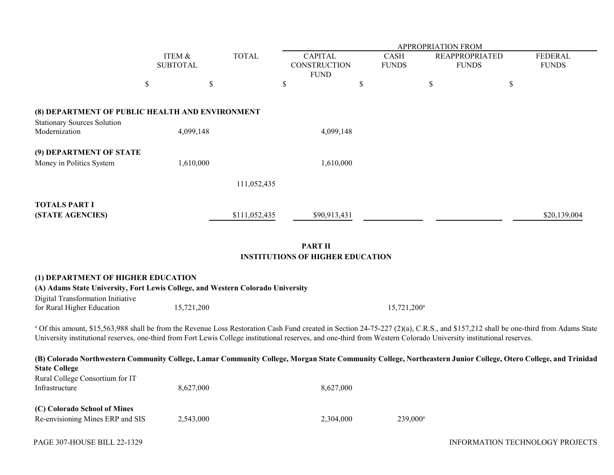|                                                                                                                                                                                                                                                                                                                                                           |                           |            | APPROPRIATION FROM |                                                           |             |                             |                                       |                                |  |  |
|-----------------------------------------------------------------------------------------------------------------------------------------------------------------------------------------------------------------------------------------------------------------------------------------------------------------------------------------------------------|---------------------------|------------|--------------------|-----------------------------------------------------------|-------------|-----------------------------|---------------------------------------|--------------------------------|--|--|
|                                                                                                                                                                                                                                                                                                                                                           | ITEM &<br><b>SUBTOTAL</b> |            | <b>TOTAL</b>       | <b>CAPITAL</b><br>CONSTRUCTION<br><b>FUND</b>             |             | <b>CASH</b><br><b>FUNDS</b> | <b>REAPPROPRIATED</b><br><b>FUNDS</b> | <b>FEDERAL</b><br><b>FUNDS</b> |  |  |
|                                                                                                                                                                                                                                                                                                                                                           | $\$$                      | \$         |                    | \$                                                        | $\mathbb S$ | $\mathbb S$                 |                                       | \$                             |  |  |
| (8) DEPARTMENT OF PUBLIC HEALTH AND ENVIRONMENT<br><b>Stationary Sources Solution</b>                                                                                                                                                                                                                                                                     |                           |            |                    |                                                           |             |                             |                                       |                                |  |  |
| Modernization                                                                                                                                                                                                                                                                                                                                             | 4,099,148                 |            |                    | 4,099,148                                                 |             |                             |                                       |                                |  |  |
| (9) DEPARTMENT OF STATE<br>Money in Politics System                                                                                                                                                                                                                                                                                                       |                           | 1,610,000  |                    | 1,610,000                                                 |             |                             |                                       |                                |  |  |
|                                                                                                                                                                                                                                                                                                                                                           |                           |            | 111,052,435        |                                                           |             |                             |                                       |                                |  |  |
| <b>TOTALS PART I</b><br>(STATE AGENCIES)                                                                                                                                                                                                                                                                                                                  |                           |            | \$111,052,435      | \$90,913,431                                              |             |                             |                                       | \$20,139,004                   |  |  |
|                                                                                                                                                                                                                                                                                                                                                           |                           |            |                    | <b>PART II</b><br><b>INSTITUTIONS OF HIGHER EDUCATION</b> |             |                             |                                       |                                |  |  |
| (1) DEPARTMENT OF HIGHER EDUCATION<br>(A) Adams State University, Fort Lewis College, and Western Colorado University                                                                                                                                                                                                                                     |                           |            |                    |                                                           |             |                             |                                       |                                |  |  |
| Digital Transformation Initiative<br>for Rural Higher Education                                                                                                                                                                                                                                                                                           |                           | 15,721,200 |                    |                                                           |             | 15,721,200 <sup>a</sup>     |                                       |                                |  |  |
| a Of this amount, \$15,563,988 shall be from the Revenue Loss Restoration Cash Fund created in Section 24-75-227 (2)(a), C.R.S., and \$157,212 shall be one-third from Adams State<br>University institutional reserves, one-third from Fort Lewis College institutional reserves, and one-third from Western Colorado University institutional reserves. |                           |            |                    |                                                           |             |                             |                                       |                                |  |  |
| (B) Colorado Northwestern Community College, Lamar Community College, Morgan State Community College, Northeastern Junior College, Otero College, and Trinidad<br><b>State College</b>                                                                                                                                                                    |                           |            |                    |                                                           |             |                             |                                       |                                |  |  |
| Rural College Consortium for IT<br>Infrastructure                                                                                                                                                                                                                                                                                                         |                           | 8,627,000  |                    | 8,627,000                                                 |             |                             |                                       |                                |  |  |
| (C) Colorado School of Mines<br>Re-envisioning Mines ERP and SIS                                                                                                                                                                                                                                                                                          |                           | 2,543,000  |                    | 2,304,000                                                 |             | $239,000^a$                 |                                       |                                |  |  |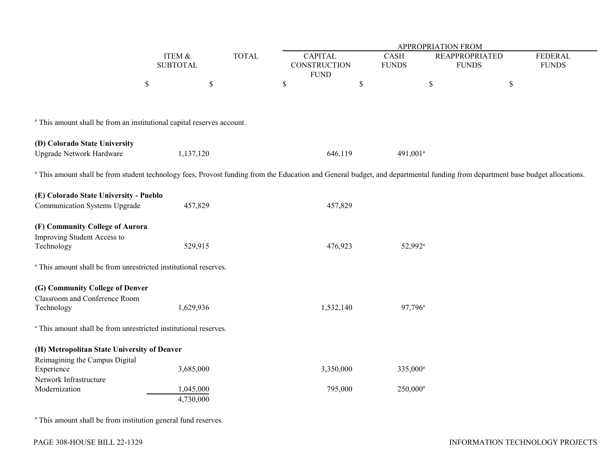|                                                                                                                                                                                          |      | ITEM &<br><b>SUBTOTAL</b> |  | APPROPRIATION FROM                            |             |                             |                                       |                                |  |  |
|------------------------------------------------------------------------------------------------------------------------------------------------------------------------------------------|------|---------------------------|--|-----------------------------------------------|-------------|-----------------------------|---------------------------------------|--------------------------------|--|--|
|                                                                                                                                                                                          |      |                           |  | <b>CAPITAL</b><br>CONSTRUCTION<br><b>FUND</b> |             | <b>CASH</b><br><b>FUNDS</b> | <b>REAPPROPRIATED</b><br><b>FUNDS</b> | <b>FEDERAL</b><br><b>FUNDS</b> |  |  |
|                                                                                                                                                                                          | $\$$ | $\mathbb{S}$              |  | \$                                            | $\mathbb S$ |                             | $\mathbb S$                           | \$                             |  |  |
| <sup>a</sup> This amount shall be from an institutional capital reserves account.                                                                                                        |      |                           |  |                                               |             |                             |                                       |                                |  |  |
| (D) Colorado State University<br>Upgrade Network Hardware                                                                                                                                |      | 1,137,120                 |  |                                               | 646,119     | $491,001^a$                 |                                       |                                |  |  |
| <sup>a</sup> This amount shall be from student technology fees, Provost funding from the Education and General budget, and departmental funding from department base budget allocations. |      |                           |  |                                               |             |                             |                                       |                                |  |  |
| (E) Colorado State University - Pueblo<br>Communication Systems Upgrade                                                                                                                  |      | 457,829                   |  |                                               | 457,829     |                             |                                       |                                |  |  |
| (F) Community College of Aurora<br>Improving Student Access to<br>Technology                                                                                                             |      | 529,915                   |  |                                               | 476,923     | 52,992 <sup>a</sup>         |                                       |                                |  |  |
| <sup>a</sup> This amount shall be from unrestricted institutional reserves.                                                                                                              |      |                           |  |                                               |             |                             |                                       |                                |  |  |
| (G) Community College of Denver<br>Classroom and Conference Room<br>Technology                                                                                                           |      | 1,629,936                 |  |                                               | 1,532,140   | 97,796 <sup>a</sup>         |                                       |                                |  |  |
| <sup>a</sup> This amount shall be from unrestricted institutional reserves.                                                                                                              |      |                           |  |                                               |             |                             |                                       |                                |  |  |
| (H) Metropolitan State University of Denver<br>Reimagining the Campus Digital                                                                                                            |      |                           |  |                                               |             |                             |                                       |                                |  |  |
| Experience<br>Network Infrastructure                                                                                                                                                     |      | 3,685,000                 |  |                                               | 3,350,000   | 335,000 <sup>a</sup>        |                                       |                                |  |  |
| Modernization                                                                                                                                                                            |      | 1,045,000<br>4,730,000    |  |                                               | 795,000     | $250,000^{\circ}$           |                                       |                                |  |  |

a This amount shall be from institution general fund reserves.